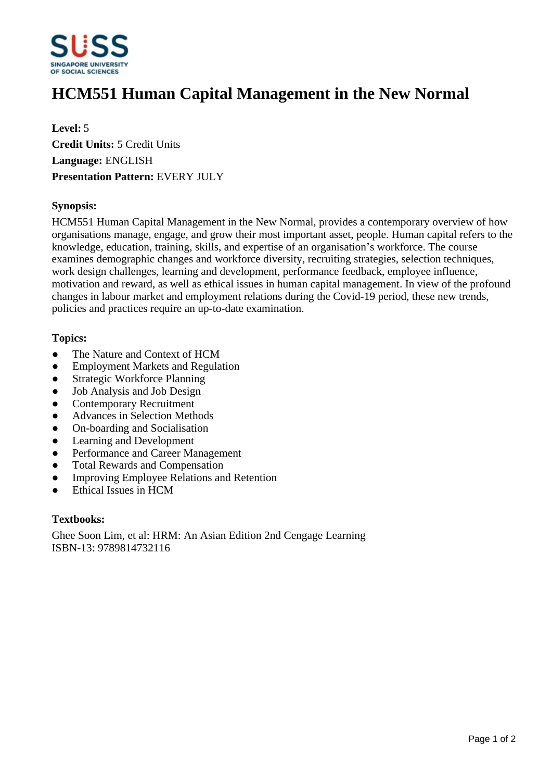

# **HCM551 Human Capital Management in the New Normal**

**Level:** 5 **Credit Units:** 5 Credit Units **Language:** ENGLISH **Presentation Pattern:** EVERY JULY

#### **Synopsis:**

HCM551 Human Capital Management in the New Normal, provides a contemporary overview of how organisations manage, engage, and grow their most important asset, people. Human capital refers to the knowledge, education, training, skills, and expertise of an organisation's workforce. The course examines demographic changes and workforce diversity, recruiting strategies, selection techniques, work design challenges, learning and development, performance feedback, employee influence, motivation and reward, as well as ethical issues in human capital management. In view of the profound changes in labour market and employment relations during the Covid-19 period, these new trends, policies and practices require an up-to-date examination.

#### **Topics:**

- The Nature and Context of HCM
- Employment Markets and Regulation
- Strategic Workforce Planning
- Job Analysis and Job Design
- Contemporary Recruitment
- Advances in Selection Methods
- ƔOn-boarding and Socialisation
- Learning and Development
- Performance and Career Management
- Total Rewards and Compensation
- Improving Employee Relations and Retention
- ƔEthical Issues in HCM

#### **Textbooks:**

Ghee Soon Lim, et al: HRM: An Asian Edition 2nd Cengage Learning ISBN-13: 9789814732116